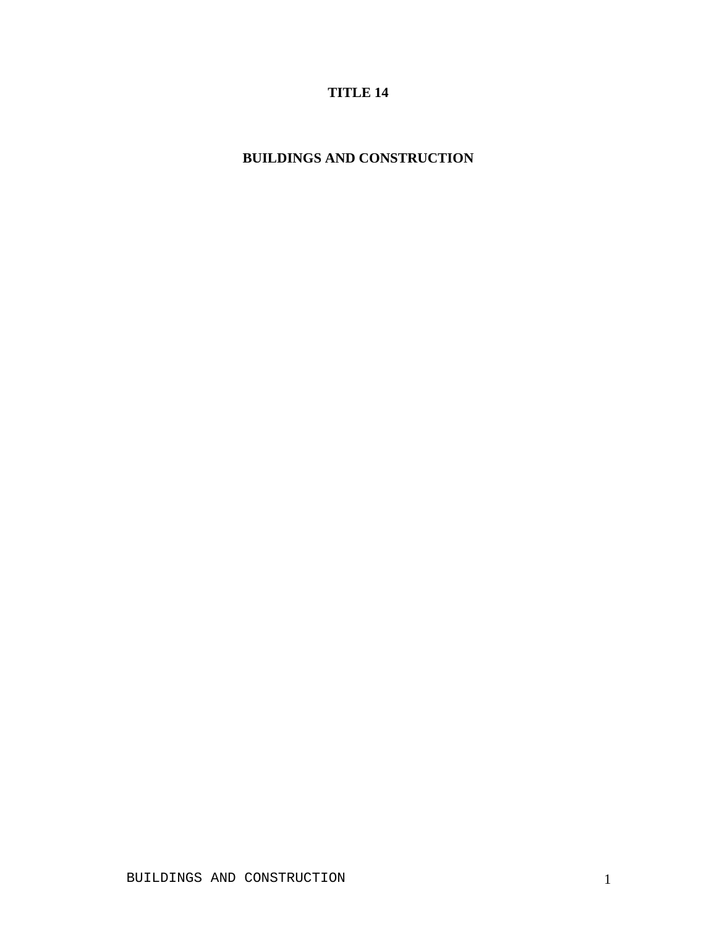## **TITLE 14**

## **BUILDINGS AND CONSTRUCTION**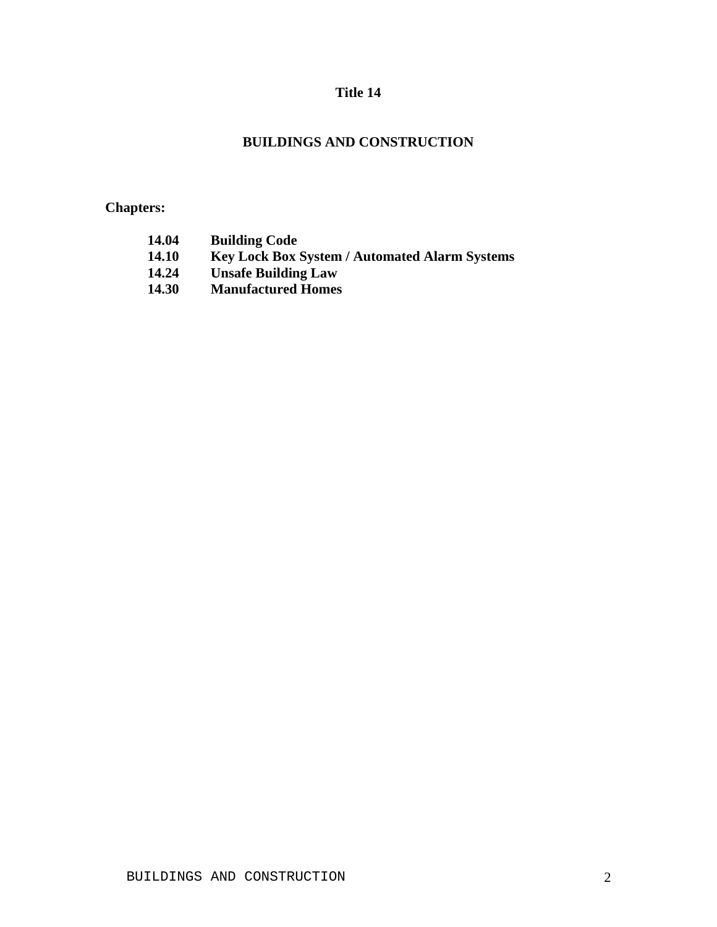## **Title 14**

## **BUILDINGS AND CONSTRUCTION**

# **Chapters:**

| 14.04        | <b>Building Code</b>                                 |
|--------------|------------------------------------------------------|
| <b>14.10</b> | <b>Key Lock Box System / Automated Alarm Systems</b> |
| 14.24        | <b>Unsafe Building Law</b>                           |
| <b>14.30</b> | <b>Manufactured Homes</b>                            |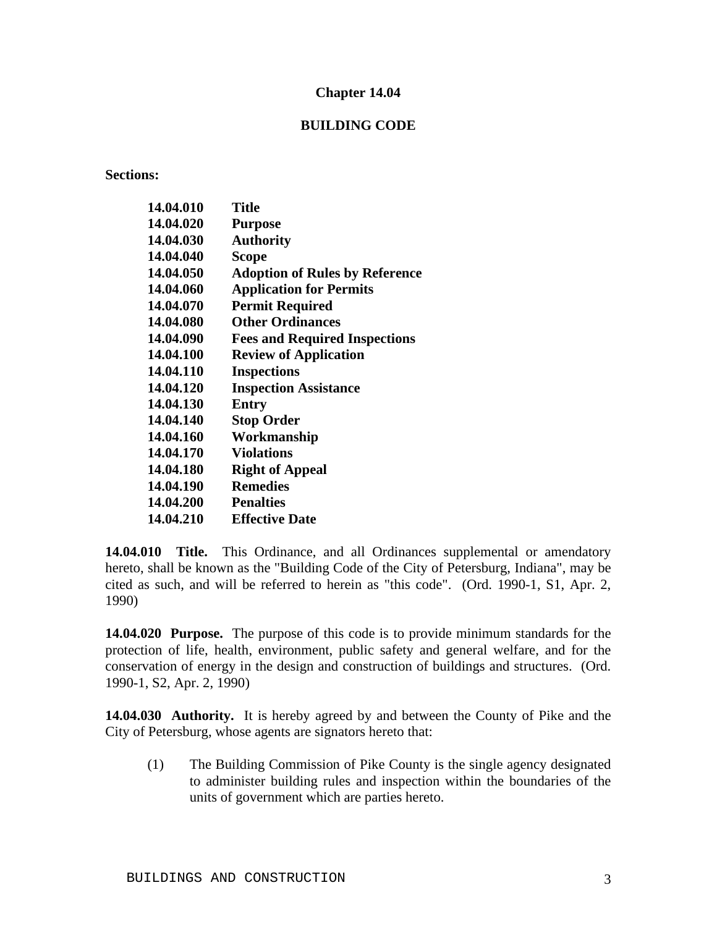#### **BUILDING CODE**

#### **Sections:**

| 14.04.010 | <b>Title</b>                          |
|-----------|---------------------------------------|
| 14.04.020 | <b>Purpose</b>                        |
| 14.04.030 | <b>Authority</b>                      |
| 14.04.040 | Scope                                 |
| 14.04.050 | <b>Adoption of Rules by Reference</b> |
| 14.04.060 | <b>Application for Permits</b>        |
| 14.04.070 | <b>Permit Required</b>                |
| 14.04.080 | <b>Other Ordinances</b>               |
| 14.04.090 | <b>Fees and Required Inspections</b>  |
| 14.04.100 | <b>Review of Application</b>          |
| 14.04.110 | <b>Inspections</b>                    |
| 14.04.120 | <b>Inspection Assistance</b>          |
| 14.04.130 | Entry                                 |
| 14.04.140 | <b>Stop Order</b>                     |
| 14.04.160 | Workmanship                           |
| 14.04.170 | <b>Violations</b>                     |
| 14.04.180 | <b>Right of Appeal</b>                |
| 14.04.190 | <b>Remedies</b>                       |
| 14.04.200 | <b>Penalties</b>                      |
| 14.04.210 | <b>Effective Date</b>                 |
|           |                                       |

**14.04.010 Title.** This Ordinance, and all Ordinances supplemental or amendatory hereto, shall be known as the "Building Code of the City of Petersburg, Indiana", may be cited as such, and will be referred to herein as "this code". (Ord. 1990-1, S1, Apr. 2, 1990)

**14.04.020 Purpose.** The purpose of this code is to provide minimum standards for the protection of life, health, environment, public safety and general welfare, and for the conservation of energy in the design and construction of buildings and structures. (Ord. 1990-1, S2, Apr. 2, 1990)

**14.04.030 Authority.** It is hereby agreed by and between the County of Pike and the City of Petersburg, whose agents are signators hereto that:

(1) The Building Commission of Pike County is the single agency designated to administer building rules and inspection within the boundaries of the units of government which are parties hereto.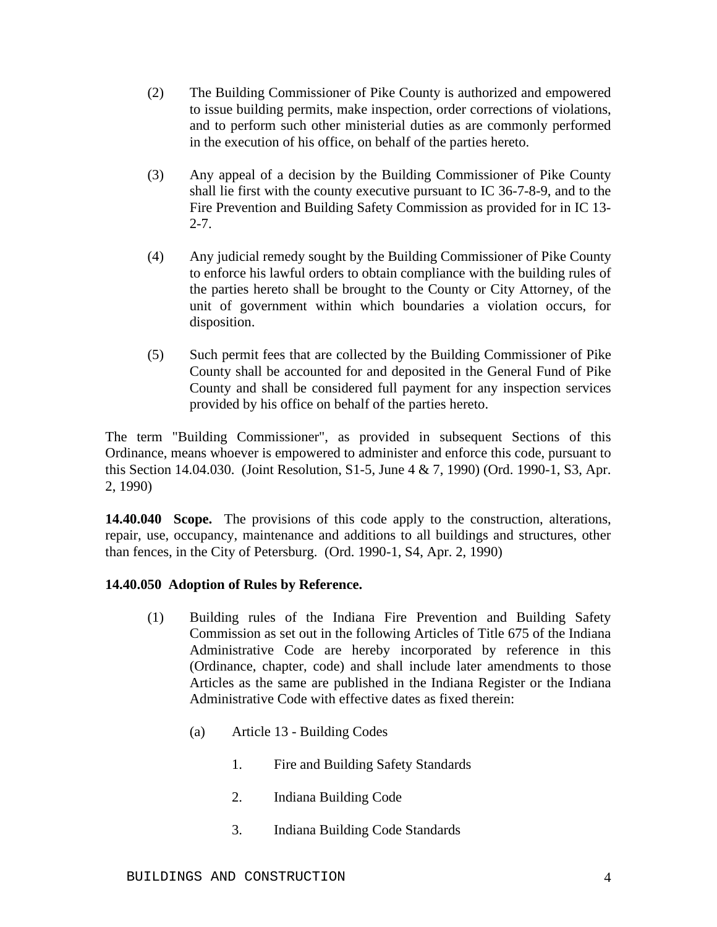- (2) The Building Commissioner of Pike County is authorized and empowered to issue building permits, make inspection, order corrections of violations, and to perform such other ministerial duties as are commonly performed in the execution of his office, on behalf of the parties hereto.
- (3) Any appeal of a decision by the Building Commissioner of Pike County shall lie first with the county executive pursuant to IC 36-7-8-9, and to the Fire Prevention and Building Safety Commission as provided for in IC 13-  $2 - 7$ .
- (4) Any judicial remedy sought by the Building Commissioner of Pike County to enforce his lawful orders to obtain compliance with the building rules of the parties hereto shall be brought to the County or City Attorney, of the unit of government within which boundaries a violation occurs, for disposition.
- (5) Such permit fees that are collected by the Building Commissioner of Pike County shall be accounted for and deposited in the General Fund of Pike County and shall be considered full payment for any inspection services provided by his office on behalf of the parties hereto.

The term "Building Commissioner", as provided in subsequent Sections of this Ordinance, means whoever is empowered to administer and enforce this code, pursuant to this Section 14.04.030. (Joint Resolution, S1-5, June 4 & 7, 1990) (Ord. 1990-1, S3, Apr. 2, 1990)

**14.40.040 Scope.** The provisions of this code apply to the construction, alterations, repair, use, occupancy, maintenance and additions to all buildings and structures, other than fences, in the City of Petersburg. (Ord. 1990-1, S4, Apr. 2, 1990)

## **14.40.050 Adoption of Rules by Reference.**

- (1) Building rules of the Indiana Fire Prevention and Building Safety Commission as set out in the following Articles of Title 675 of the Indiana Administrative Code are hereby incorporated by reference in this (Ordinance, chapter, code) and shall include later amendments to those Articles as the same are published in the Indiana Register or the Indiana Administrative Code with effective dates as fixed therein:
	- (a) Article 13 Building Codes
		- 1. Fire and Building Safety Standards
		- 2. Indiana Building Code
		- 3. Indiana Building Code Standards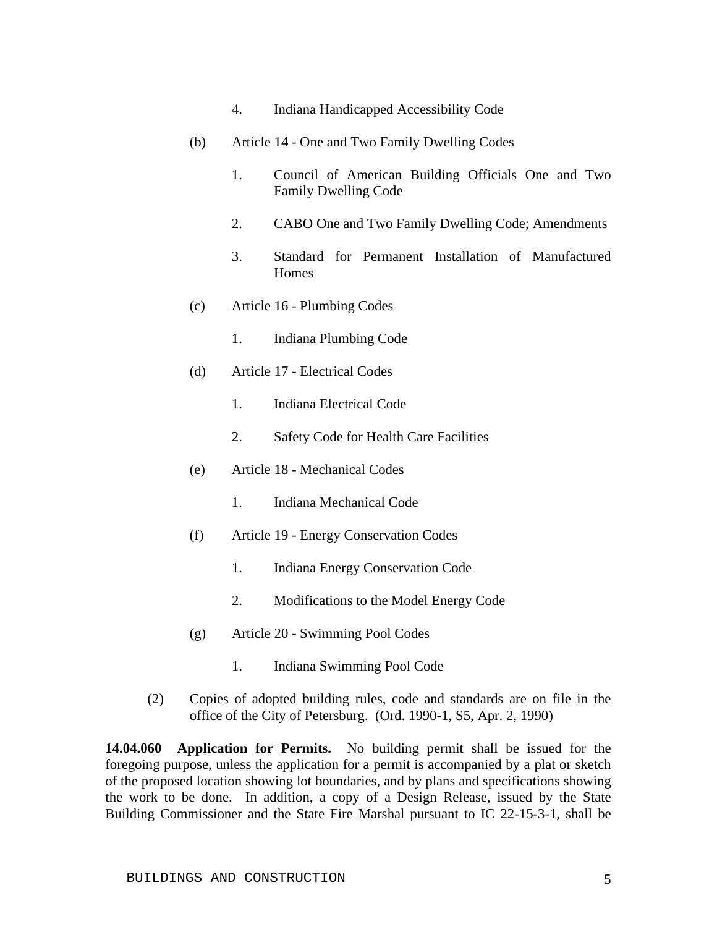- 4. Indiana Handicapped Accessibility Code
- (b) Article 14 One and Two Family Dwelling Codes
	- 1. Council of American Building Officials One and Two Family Dwelling Code
	- 2. CABO One and Two Family Dwelling Code; Amendments
	- 3. Standard for Permanent Installation of Manufactured **Homes**
- (c) Article 16 Plumbing Codes
	- 1. Indiana Plumbing Code
- (d) Article 17 Electrical Codes
	- 1. Indiana Electrical Code
	- 2. Safety Code for Health Care Facilities
- (e) Article 18 Mechanical Codes
	- 1. Indiana Mechanical Code
- (f) Article 19 Energy Conservation Codes
	- 1. Indiana Energy Conservation Code
	- 2. Modifications to the Model Energy Code
- (g) Article 20 Swimming Pool Codes
	- 1. Indiana Swimming Pool Code
- (2) Copies of adopted building rules, code and standards are on file in the office of the City of Petersburg. (Ord. 1990-1, S5, Apr. 2, 1990)

**14.04.060 Application for Permits.** No building permit shall be issued for the foregoing purpose, unless the application for a permit is accompanied by a plat or sketch of the proposed location showing lot boundaries, and by plans and specifications showing the work to be done. In addition, a copy of a Design Release, issued by the State Building Commissioner and the State Fire Marshal pursuant to IC 22-15-3-1, shall be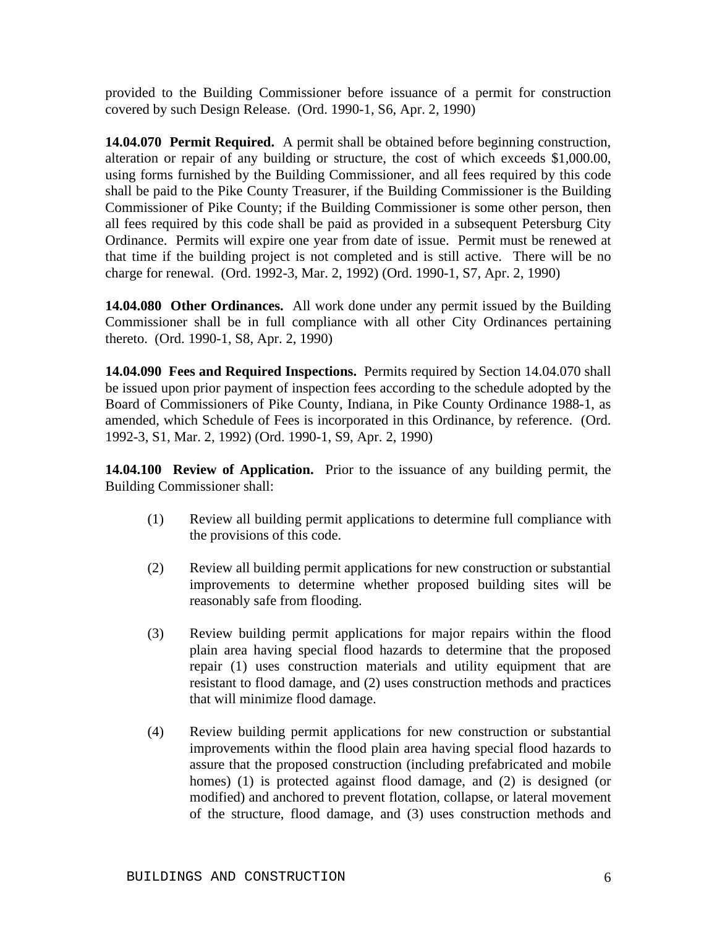provided to the Building Commissioner before issuance of a permit for construction covered by such Design Release. (Ord. 1990-1, S6, Apr. 2, 1990)

**14.04.070 Permit Required.** A permit shall be obtained before beginning construction, alteration or repair of any building or structure, the cost of which exceeds \$1,000.00, using forms furnished by the Building Commissioner, and all fees required by this code shall be paid to the Pike County Treasurer, if the Building Commissioner is the Building Commissioner of Pike County; if the Building Commissioner is some other person, then all fees required by this code shall be paid as provided in a subsequent Petersburg City Ordinance. Permits will expire one year from date of issue. Permit must be renewed at that time if the building project is not completed and is still active. There will be no charge for renewal. (Ord. 1992-3, Mar. 2, 1992) (Ord. 1990-1, S7, Apr. 2, 1990)

**14.04.080 Other Ordinances.** All work done under any permit issued by the Building Commissioner shall be in full compliance with all other City Ordinances pertaining thereto. (Ord. 1990-1, S8, Apr. 2, 1990)

**14.04.090 Fees and Required Inspections.** Permits required by Section 14.04.070 shall be issued upon prior payment of inspection fees according to the schedule adopted by the Board of Commissioners of Pike County, Indiana, in Pike County Ordinance 1988-1, as amended, which Schedule of Fees is incorporated in this Ordinance, by reference. (Ord. 1992-3, S1, Mar. 2, 1992) (Ord. 1990-1, S9, Apr. 2, 1990)

**14.04.100 Review of Application.** Prior to the issuance of any building permit, the Building Commissioner shall:

- (1) Review all building permit applications to determine full compliance with the provisions of this code.
- (2) Review all building permit applications for new construction or substantial improvements to determine whether proposed building sites will be reasonably safe from flooding.
- (3) Review building permit applications for major repairs within the flood plain area having special flood hazards to determine that the proposed repair (1) uses construction materials and utility equipment that are resistant to flood damage, and (2) uses construction methods and practices that will minimize flood damage.
- (4) Review building permit applications for new construction or substantial improvements within the flood plain area having special flood hazards to assure that the proposed construction (including prefabricated and mobile homes) (1) is protected against flood damage, and (2) is designed (or modified) and anchored to prevent flotation, collapse, or lateral movement of the structure, flood damage, and (3) uses construction methods and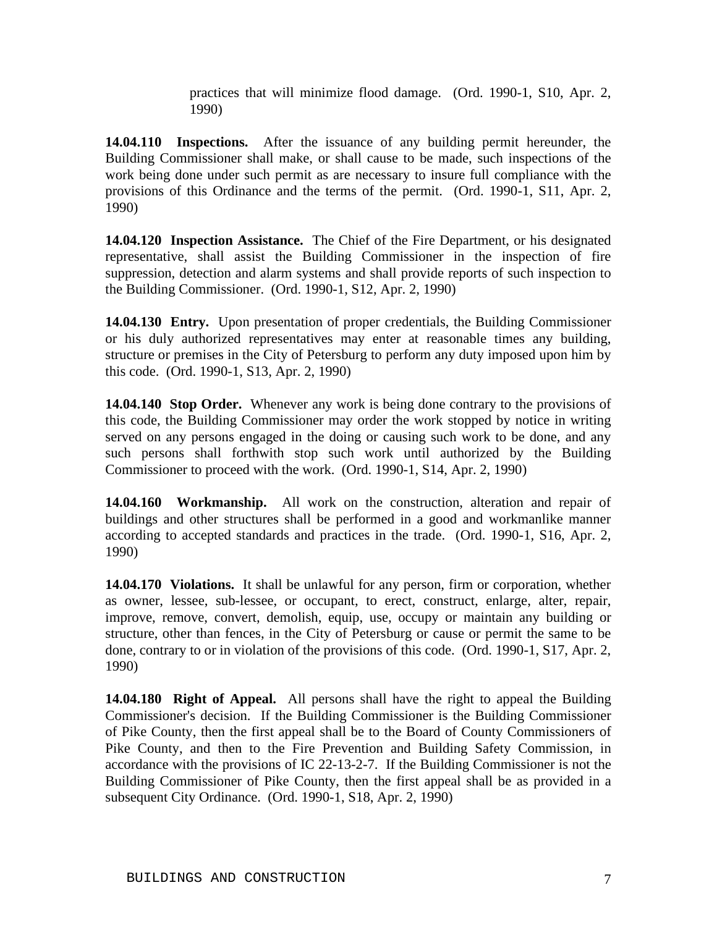practices that will minimize flood damage. (Ord. 1990-1, S10, Apr. 2, 1990)

**14.04.110 Inspections.** After the issuance of any building permit hereunder, the Building Commissioner shall make, or shall cause to be made, such inspections of the work being done under such permit as are necessary to insure full compliance with the provisions of this Ordinance and the terms of the permit. (Ord. 1990-1, S11, Apr. 2, 1990)

**14.04.120 Inspection Assistance.** The Chief of the Fire Department, or his designated representative, shall assist the Building Commissioner in the inspection of fire suppression, detection and alarm systems and shall provide reports of such inspection to the Building Commissioner. (Ord. 1990-1, S12, Apr. 2, 1990)

**14.04.130 Entry.** Upon presentation of proper credentials, the Building Commissioner or his duly authorized representatives may enter at reasonable times any building, structure or premises in the City of Petersburg to perform any duty imposed upon him by this code. (Ord. 1990-1, S13, Apr. 2, 1990)

**14.04.140 Stop Order.** Whenever any work is being done contrary to the provisions of this code, the Building Commissioner may order the work stopped by notice in writing served on any persons engaged in the doing or causing such work to be done, and any such persons shall forthwith stop such work until authorized by the Building Commissioner to proceed with the work. (Ord. 1990-1, S14, Apr. 2, 1990)

**14.04.160 Workmanship.** All work on the construction, alteration and repair of buildings and other structures shall be performed in a good and workmanlike manner according to accepted standards and practices in the trade. (Ord. 1990-1, S16, Apr. 2, 1990)

**14.04.170 Violations.** It shall be unlawful for any person, firm or corporation, whether as owner, lessee, sub-lessee, or occupant, to erect, construct, enlarge, alter, repair, improve, remove, convert, demolish, equip, use, occupy or maintain any building or structure, other than fences, in the City of Petersburg or cause or permit the same to be done, contrary to or in violation of the provisions of this code. (Ord. 1990-1, S17, Apr. 2, 1990)

**14.04.180 Right of Appeal.** All persons shall have the right to appeal the Building Commissioner's decision. If the Building Commissioner is the Building Commissioner of Pike County, then the first appeal shall be to the Board of County Commissioners of Pike County, and then to the Fire Prevention and Building Safety Commission, in accordance with the provisions of IC 22-13-2-7. If the Building Commissioner is not the Building Commissioner of Pike County, then the first appeal shall be as provided in a subsequent City Ordinance. (Ord. 1990-1, S18, Apr. 2, 1990)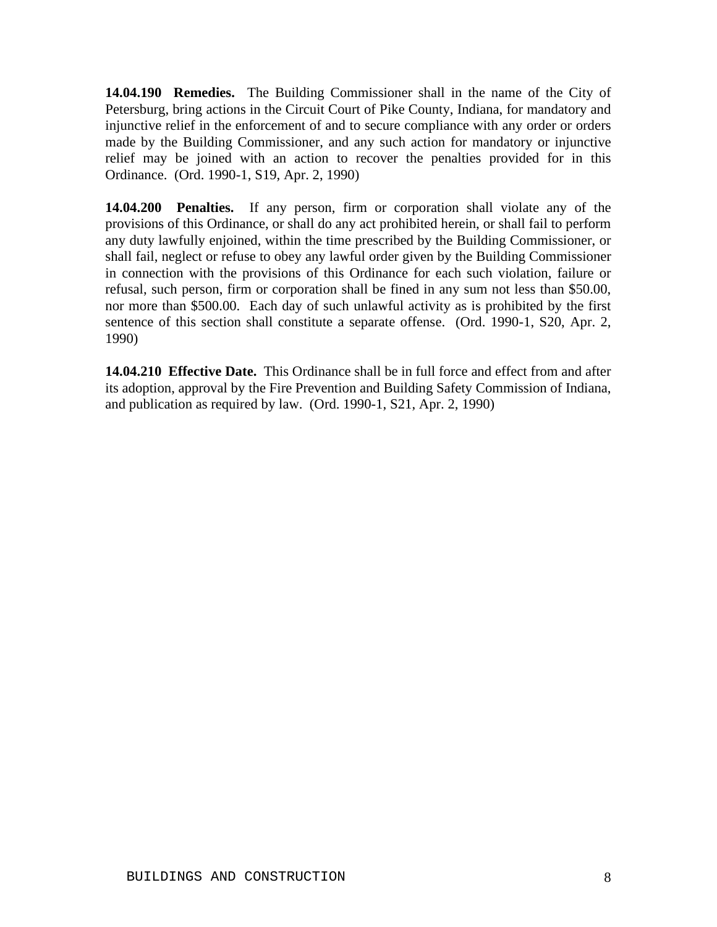**14.04.190 Remedies.** The Building Commissioner shall in the name of the City of Petersburg, bring actions in the Circuit Court of Pike County, Indiana, for mandatory and injunctive relief in the enforcement of and to secure compliance with any order or orders made by the Building Commissioner, and any such action for mandatory or injunctive relief may be joined with an action to recover the penalties provided for in this Ordinance. (Ord. 1990-1, S19, Apr. 2, 1990)

**14.04.200 Penalties.** If any person, firm or corporation shall violate any of the provisions of this Ordinance, or shall do any act prohibited herein, or shall fail to perform any duty lawfully enjoined, within the time prescribed by the Building Commissioner, or shall fail, neglect or refuse to obey any lawful order given by the Building Commissioner in connection with the provisions of this Ordinance for each such violation, failure or refusal, such person, firm or corporation shall be fined in any sum not less than \$50.00, nor more than \$500.00. Each day of such unlawful activity as is prohibited by the first sentence of this section shall constitute a separate offense. (Ord. 1990-1, S20, Apr. 2, 1990)

**14.04.210 Effective Date.** This Ordinance shall be in full force and effect from and after its adoption, approval by the Fire Prevention and Building Safety Commission of Indiana, and publication as required by law. (Ord. 1990-1, S21, Apr. 2, 1990)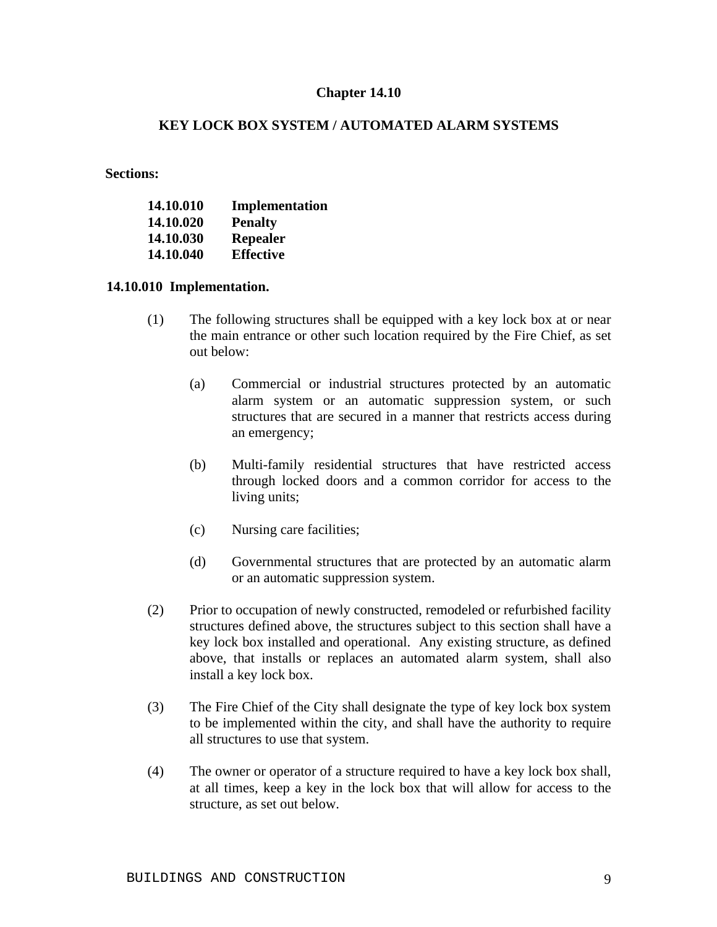## **KEY LOCK BOX SYSTEM / AUTOMATED ALARM SYSTEMS**

**Sections:**

| 14.10.010 | Implementation   |
|-----------|------------------|
| 14.10.020 | <b>Penalty</b>   |
| 14.10.030 | Repealer         |
| 14.10.040 | <b>Effective</b> |

#### **14.10.010 Implementation.**

- (1) The following structures shall be equipped with a key lock box at or near the main entrance or other such location required by the Fire Chief, as set out below:
	- (a) Commercial or industrial structures protected by an automatic alarm system or an automatic suppression system, or such structures that are secured in a manner that restricts access during an emergency;
	- (b) Multi-family residential structures that have restricted access through locked doors and a common corridor for access to the living units;
	- (c) Nursing care facilities;
	- (d) Governmental structures that are protected by an automatic alarm or an automatic suppression system.
- (2) Prior to occupation of newly constructed, remodeled or refurbished facility structures defined above, the structures subject to this section shall have a key lock box installed and operational. Any existing structure, as defined above, that installs or replaces an automated alarm system, shall also install a key lock box.
- (3) The Fire Chief of the City shall designate the type of key lock box system to be implemented within the city, and shall have the authority to require all structures to use that system.
- (4) The owner or operator of a structure required to have a key lock box shall, at all times, keep a key in the lock box that will allow for access to the structure, as set out below.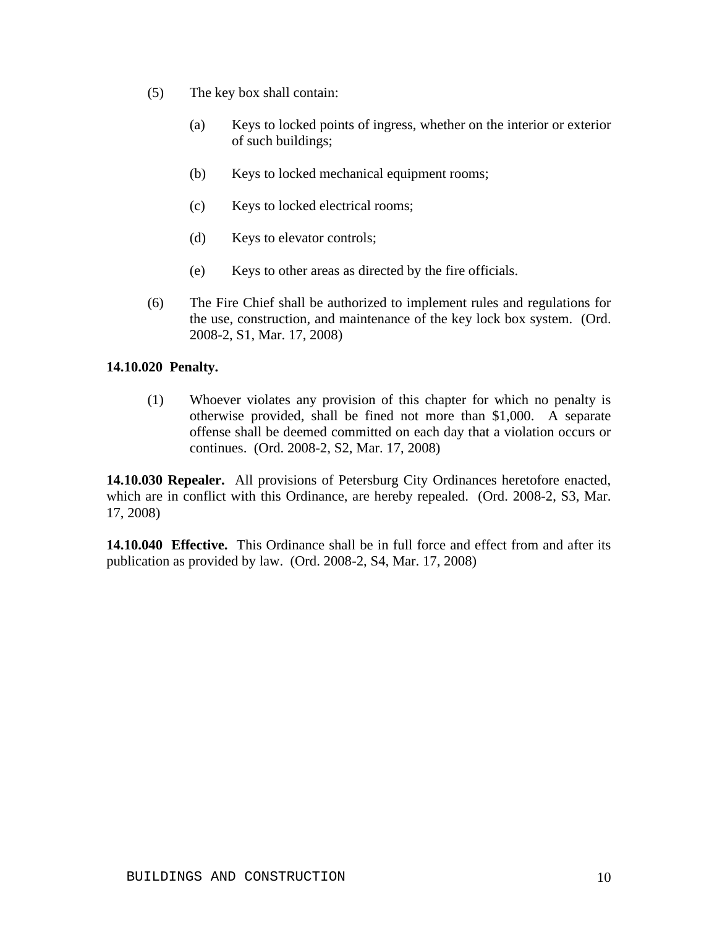- (5) The key box shall contain:
	- (a) Keys to locked points of ingress, whether on the interior or exterior of such buildings;
	- (b) Keys to locked mechanical equipment rooms;
	- (c) Keys to locked electrical rooms;
	- (d) Keys to elevator controls;
	- (e) Keys to other areas as directed by the fire officials.
- (6) The Fire Chief shall be authorized to implement rules and regulations for the use, construction, and maintenance of the key lock box system. (Ord. 2008-2, S1, Mar. 17, 2008)

### **14.10.020 Penalty.**

(1) Whoever violates any provision of this chapter for which no penalty is otherwise provided, shall be fined not more than \$1,000. A separate offense shall be deemed committed on each day that a violation occurs or continues. (Ord. 2008-2, S2, Mar. 17, 2008)

**14.10.030 Repealer.** All provisions of Petersburg City Ordinances heretofore enacted, which are in conflict with this Ordinance, are hereby repealed. (Ord. 2008-2, S3, Mar. 17, 2008)

**14.10.040 Effective.** This Ordinance shall be in full force and effect from and after its publication as provided by law. (Ord. 2008-2, S4, Mar. 17, 2008)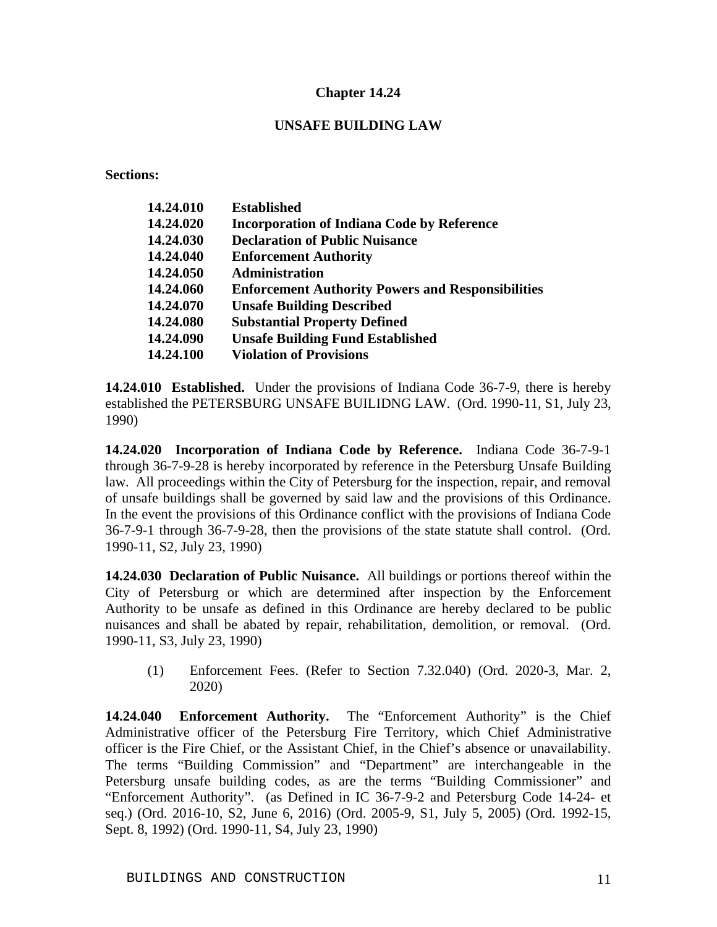## **UNSAFE BUILDING LAW**

**Sections:**

| 14.24.010 | <b>Established</b>                                       |
|-----------|----------------------------------------------------------|
| 14.24.020 | <b>Incorporation of Indiana Code by Reference</b>        |
| 14.24.030 | <b>Declaration of Public Nuisance</b>                    |
| 14.24.040 | <b>Enforcement Authority</b>                             |
| 14.24.050 | <b>Administration</b>                                    |
| 14.24.060 | <b>Enforcement Authority Powers and Responsibilities</b> |
| 14.24.070 | <b>Unsafe Building Described</b>                         |
| 14.24.080 | <b>Substantial Property Defined</b>                      |
| 14.24.090 | <b>Unsafe Building Fund Established</b>                  |
| 14.24.100 | <b>Violation of Provisions</b>                           |
|           |                                                          |

**14.24.010 Established.** Under the provisions of Indiana Code 36-7-9, there is hereby established the PETERSBURG UNSAFE BUILIDNG LAW. (Ord. 1990-11, S1, July 23, 1990)

**14.24.020 Incorporation of Indiana Code by Reference.** Indiana Code 36-7-9-1 through 36-7-9-28 is hereby incorporated by reference in the Petersburg Unsafe Building law. All proceedings within the City of Petersburg for the inspection, repair, and removal of unsafe buildings shall be governed by said law and the provisions of this Ordinance. In the event the provisions of this Ordinance conflict with the provisions of Indiana Code 36-7-9-1 through 36-7-9-28, then the provisions of the state statute shall control. (Ord. 1990-11, S2, July 23, 1990)

**14.24.030 Declaration of Public Nuisance.** All buildings or portions thereof within the City of Petersburg or which are determined after inspection by the Enforcement Authority to be unsafe as defined in this Ordinance are hereby declared to be public nuisances and shall be abated by repair, rehabilitation, demolition, or removal. (Ord. 1990-11, S3, July 23, 1990)

(1) Enforcement Fees. (Refer to Section 7.32.040) (Ord. 2020-3, Mar. 2, 2020)

**14.24.040 Enforcement Authority.** The "Enforcement Authority" is the Chief Administrative officer of the Petersburg Fire Territory, which Chief Administrative officer is the Fire Chief, or the Assistant Chief, in the Chief's absence or unavailability. The terms "Building Commission" and "Department" are interchangeable in the Petersburg unsafe building codes, as are the terms "Building Commissioner" and "Enforcement Authority". (as Defined in IC 36-7-9-2 and Petersburg Code 14-24- et seq.) (Ord. 2016-10, S2, June 6, 2016) (Ord. 2005-9, S1, July 5, 2005) (Ord. 1992-15, Sept. 8, 1992) (Ord. 1990-11, S4, July 23, 1990)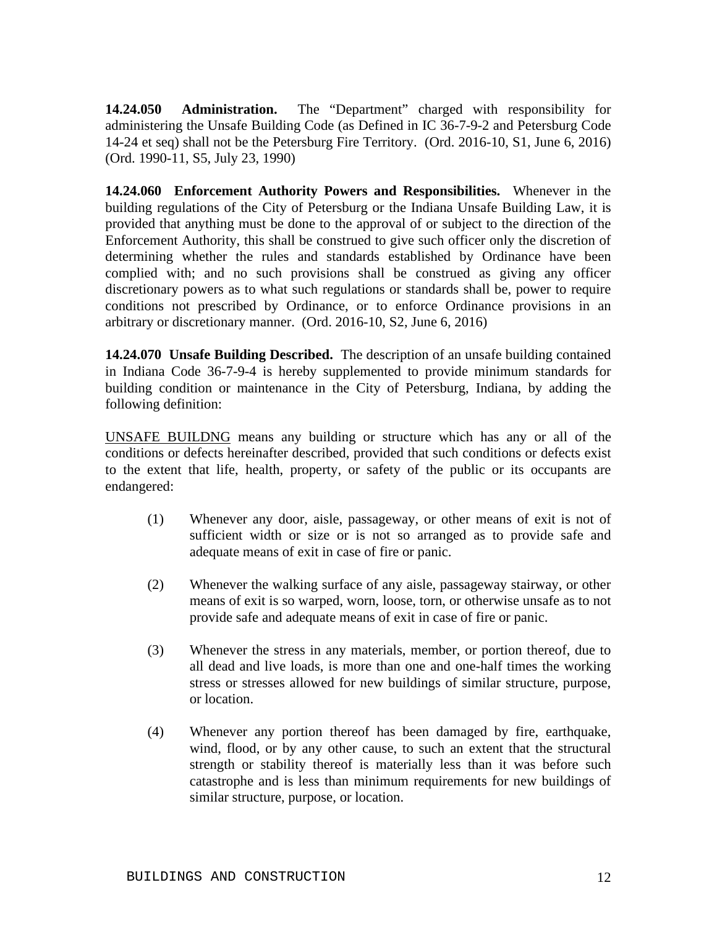**14.24.050 Administration.** The "Department" charged with responsibility for administering the Unsafe Building Code (as Defined in IC 36-7-9-2 and Petersburg Code 14-24 et seq) shall not be the Petersburg Fire Territory. (Ord. 2016-10, S1, June 6, 2016) (Ord. 1990-11, S5, July 23, 1990)

**14.24.060 Enforcement Authority Powers and Responsibilities.** Whenever in the building regulations of the City of Petersburg or the Indiana Unsafe Building Law, it is provided that anything must be done to the approval of or subject to the direction of the Enforcement Authority, this shall be construed to give such officer only the discretion of determining whether the rules and standards established by Ordinance have been complied with; and no such provisions shall be construed as giving any officer discretionary powers as to what such regulations or standards shall be, power to require conditions not prescribed by Ordinance, or to enforce Ordinance provisions in an arbitrary or discretionary manner. (Ord. 2016-10, S2, June 6, 2016)

**14.24.070 Unsafe Building Described.** The description of an unsafe building contained in Indiana Code 36-7-9-4 is hereby supplemented to provide minimum standards for building condition or maintenance in the City of Petersburg, Indiana, by adding the following definition:

UNSAFE BUILDNG means any building or structure which has any or all of the conditions or defects hereinafter described, provided that such conditions or defects exist to the extent that life, health, property, or safety of the public or its occupants are endangered:

- (1) Whenever any door, aisle, passageway, or other means of exit is not of sufficient width or size or is not so arranged as to provide safe and adequate means of exit in case of fire or panic.
- (2) Whenever the walking surface of any aisle, passageway stairway, or other means of exit is so warped, worn, loose, torn, or otherwise unsafe as to not provide safe and adequate means of exit in case of fire or panic.
- (3) Whenever the stress in any materials, member, or portion thereof, due to all dead and live loads, is more than one and one-half times the working stress or stresses allowed for new buildings of similar structure, purpose, or location.
- (4) Whenever any portion thereof has been damaged by fire, earthquake, wind, flood, or by any other cause, to such an extent that the structural strength or stability thereof is materially less than it was before such catastrophe and is less than minimum requirements for new buildings of similar structure, purpose, or location.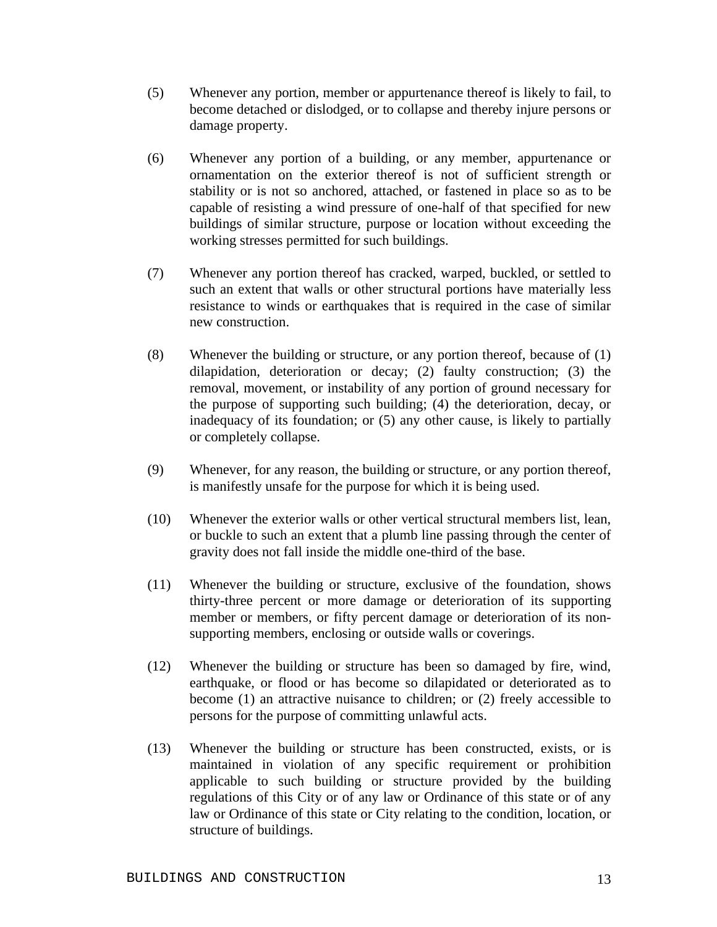- (5) Whenever any portion, member or appurtenance thereof is likely to fail, to become detached or dislodged, or to collapse and thereby injure persons or damage property.
- (6) Whenever any portion of a building, or any member, appurtenance or ornamentation on the exterior thereof is not of sufficient strength or stability or is not so anchored, attached, or fastened in place so as to be capable of resisting a wind pressure of one-half of that specified for new buildings of similar structure, purpose or location without exceeding the working stresses permitted for such buildings.
- (7) Whenever any portion thereof has cracked, warped, buckled, or settled to such an extent that walls or other structural portions have materially less resistance to winds or earthquakes that is required in the case of similar new construction.
- (8) Whenever the building or structure, or any portion thereof, because of (1) dilapidation, deterioration or decay; (2) faulty construction; (3) the removal, movement, or instability of any portion of ground necessary for the purpose of supporting such building; (4) the deterioration, decay, or inadequacy of its foundation; or (5) any other cause, is likely to partially or completely collapse.
- (9) Whenever, for any reason, the building or structure, or any portion thereof, is manifestly unsafe for the purpose for which it is being used.
- (10) Whenever the exterior walls or other vertical structural members list, lean, or buckle to such an extent that a plumb line passing through the center of gravity does not fall inside the middle one-third of the base.
- (11) Whenever the building or structure, exclusive of the foundation, shows thirty-three percent or more damage or deterioration of its supporting member or members, or fifty percent damage or deterioration of its nonsupporting members, enclosing or outside walls or coverings.
- (12) Whenever the building or structure has been so damaged by fire, wind, earthquake, or flood or has become so dilapidated or deteriorated as to become (1) an attractive nuisance to children; or (2) freely accessible to persons for the purpose of committing unlawful acts.
- (13) Whenever the building or structure has been constructed, exists, or is maintained in violation of any specific requirement or prohibition applicable to such building or structure provided by the building regulations of this City or of any law or Ordinance of this state or of any law or Ordinance of this state or City relating to the condition, location, or structure of buildings.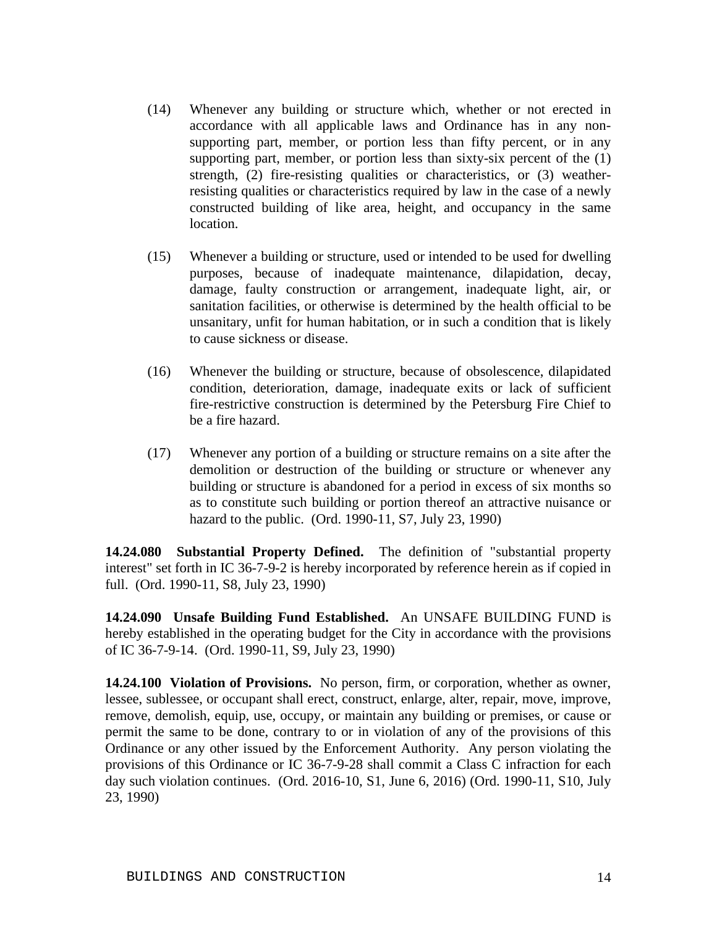- (14) Whenever any building or structure which, whether or not erected in accordance with all applicable laws and Ordinance has in any nonsupporting part, member, or portion less than fifty percent, or in any supporting part, member, or portion less than sixty-six percent of the (1) strength, (2) fire-resisting qualities or characteristics, or (3) weatherresisting qualities or characteristics required by law in the case of a newly constructed building of like area, height, and occupancy in the same location.
- (15) Whenever a building or structure, used or intended to be used for dwelling purposes, because of inadequate maintenance, dilapidation, decay, damage, faulty construction or arrangement, inadequate light, air, or sanitation facilities, or otherwise is determined by the health official to be unsanitary, unfit for human habitation, or in such a condition that is likely to cause sickness or disease.
- (16) Whenever the building or structure, because of obsolescence, dilapidated condition, deterioration, damage, inadequate exits or lack of sufficient fire-restrictive construction is determined by the Petersburg Fire Chief to be a fire hazard.
- (17) Whenever any portion of a building or structure remains on a site after the demolition or destruction of the building or structure or whenever any building or structure is abandoned for a period in excess of six months so as to constitute such building or portion thereof an attractive nuisance or hazard to the public. (Ord. 1990-11, S7, July 23, 1990)

**14.24.080 Substantial Property Defined.** The definition of "substantial property interest" set forth in IC 36-7-9-2 is hereby incorporated by reference herein as if copied in full. (Ord. 1990-11, S8, July 23, 1990)

**14.24.090 Unsafe Building Fund Established.** An UNSAFE BUILDING FUND is hereby established in the operating budget for the City in accordance with the provisions of IC 36-7-9-14. (Ord. 1990-11, S9, July 23, 1990)

**14.24.100 Violation of Provisions.** No person, firm, or corporation, whether as owner, lessee, sublessee, or occupant shall erect, construct, enlarge, alter, repair, move, improve, remove, demolish, equip, use, occupy, or maintain any building or premises, or cause or permit the same to be done, contrary to or in violation of any of the provisions of this Ordinance or any other issued by the Enforcement Authority. Any person violating the provisions of this Ordinance or IC 36-7-9-28 shall commit a Class C infraction for each day such violation continues. (Ord. 2016-10, S1, June 6, 2016) (Ord. 1990-11, S10, July 23, 1990)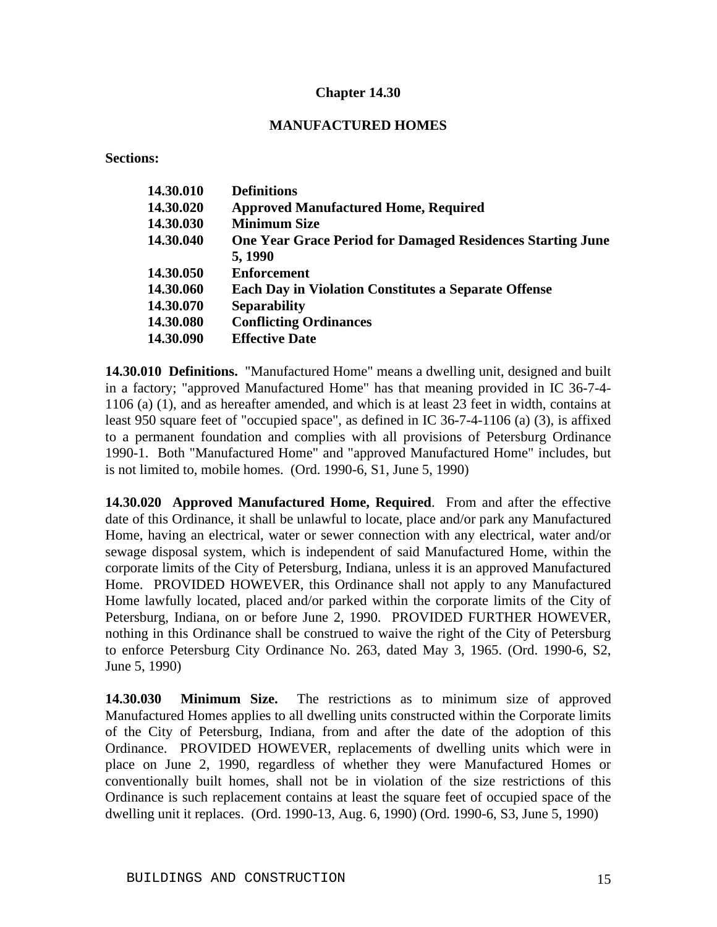#### **MANUFACTURED HOMES**

**Sections:**

| 14.30.010 | <b>Definitions</b>                                                |
|-----------|-------------------------------------------------------------------|
|           |                                                                   |
| 14.30.020 | <b>Approved Manufactured Home, Required</b>                       |
| 14.30.030 | <b>Minimum Size</b>                                               |
| 14.30.040 | <b>One Year Grace Period for Damaged Residences Starting June</b> |
|           | 5, 1990                                                           |
| 14.30.050 | <b>Enforcement</b>                                                |
| 14.30.060 | <b>Each Day in Violation Constitutes a Separate Offense</b>       |
| 14.30.070 | <b>Separability</b>                                               |
| 14.30.080 | <b>Conflicting Ordinances</b>                                     |
| 14.30.090 | <b>Effective Date</b>                                             |
|           |                                                                   |

**14.30.010 Definitions.** "Manufactured Home" means a dwelling unit, designed and built in a factory; "approved Manufactured Home" has that meaning provided in IC 36-7-4- 1106 (a) (1), and as hereafter amended, and which is at least 23 feet in width, contains at least 950 square feet of "occupied space", as defined in IC 36-7-4-1106 (a) (3), is affixed to a permanent foundation and complies with all provisions of Petersburg Ordinance 1990-1. Both "Manufactured Home" and "approved Manufactured Home" includes, but is not limited to, mobile homes. (Ord. 1990-6, S1, June 5, 1990)

**14.30.020 Approved Manufactured Home, Required**. From and after the effective date of this Ordinance, it shall be unlawful to locate, place and/or park any Manufactured Home, having an electrical, water or sewer connection with any electrical, water and/or sewage disposal system, which is independent of said Manufactured Home, within the corporate limits of the City of Petersburg, Indiana, unless it is an approved Manufactured Home. PROVIDED HOWEVER, this Ordinance shall not apply to any Manufactured Home lawfully located, placed and/or parked within the corporate limits of the City of Petersburg, Indiana, on or before June 2, 1990. PROVIDED FURTHER HOWEVER, nothing in this Ordinance shall be construed to waive the right of the City of Petersburg to enforce Petersburg City Ordinance No. 263, dated May 3, 1965. (Ord. 1990-6, S2, June 5, 1990)

**14.30.030 Minimum Size.** The restrictions as to minimum size of approved Manufactured Homes applies to all dwelling units constructed within the Corporate limits of the City of Petersburg, Indiana, from and after the date of the adoption of this Ordinance. PROVIDED HOWEVER, replacements of dwelling units which were in place on June 2, 1990, regardless of whether they were Manufactured Homes or conventionally built homes, shall not be in violation of the size restrictions of this Ordinance is such replacement contains at least the square feet of occupied space of the dwelling unit it replaces. (Ord. 1990-13, Aug. 6, 1990) (Ord. 1990-6, S3, June 5, 1990)